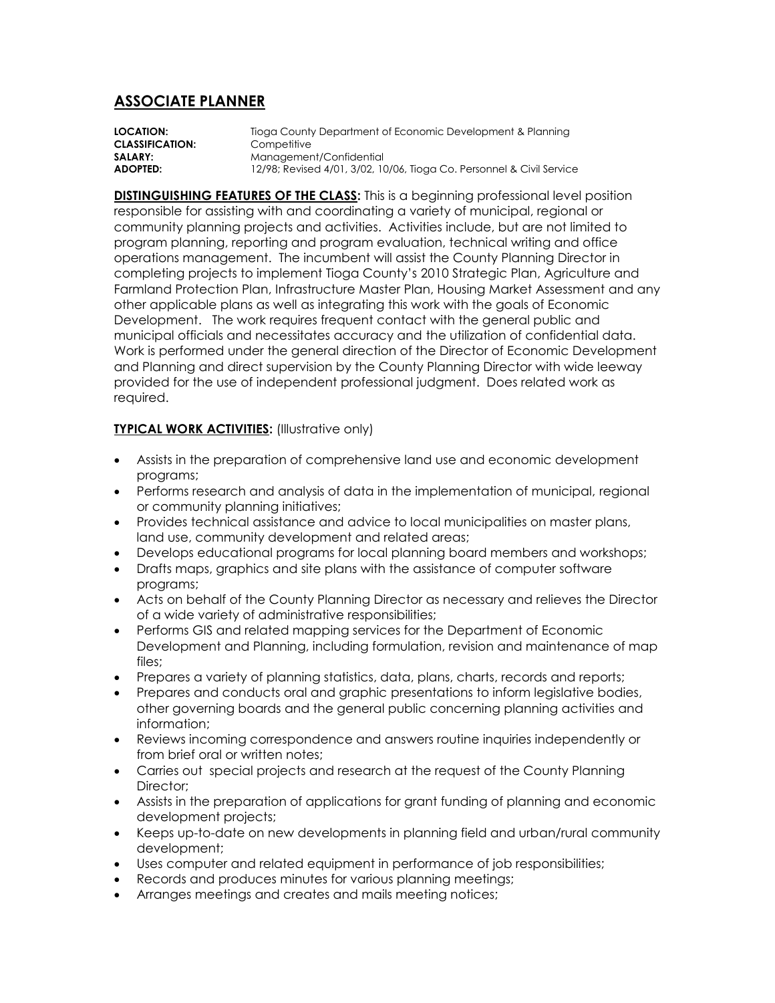## **ASSOCIATE PLANNER**

**LOCATION:** Tioga County Department of Economic Development & Planning **CLASSIFICATION:** Competitive **SALARY:** Management/Confidential **ADOPTED:** 12/98; Revised 4/01, 3/02, 10/06, Tioga Co. Personnel & Civil Service

**DISTINGUISHING FEATURES OF THE CLASS:** This is a beginning professional level position responsible for assisting with and coordinating a variety of municipal, regional or community planning projects and activities. Activities include, but are not limited to program planning, reporting and program evaluation, technical writing and office operations management. The incumbent will assist the County Planning Director in completing projects to implement Tioga County's 2010 Strategic Plan, Agriculture and Farmland Protection Plan, Infrastructure Master Plan, Housing Market Assessment and any other applicable plans as well as integrating this work with the goals of Economic Development. The work requires frequent contact with the general public and municipal officials and necessitates accuracy and the utilization of confidential data. Work is performed under the general direction of the Director of Economic Development and Planning and direct supervision by the County Planning Director with wide leeway provided for the use of independent professional judgment. Does related work as required.

## **TYPICAL WORK ACTIVITIES:** (Illustrative only)

- Assists in the preparation of comprehensive land use and economic development programs;
- Performs research and analysis of data in the implementation of municipal, regional or community planning initiatives;
- Provides technical assistance and advice to local municipalities on master plans, land use, community development and related areas;
- Develops educational programs for local planning board members and workshops;
- Drafts maps, graphics and site plans with the assistance of computer software programs;
- Acts on behalf of the County Planning Director as necessary and relieves the Director of a wide variety of administrative responsibilities;
- Performs GIS and related mapping services for the Department of Economic Development and Planning, including formulation, revision and maintenance of map files;
- Prepares a variety of planning statistics, data, plans, charts, records and reports;
- Prepares and conducts oral and graphic presentations to inform legislative bodies, other governing boards and the general public concerning planning activities and information;
- Reviews incoming correspondence and answers routine inquiries independently or from brief oral or written notes;
- Carries out special projects and research at the request of the County Planning Director:
- Assists in the preparation of applications for grant funding of planning and economic development projects;
- Keeps up-to-date on new developments in planning field and urban/rural community development;
- Uses computer and related equipment in performance of job responsibilities;
- Records and produces minutes for various planning meetings;
- Arranges meetings and creates and mails meeting notices;